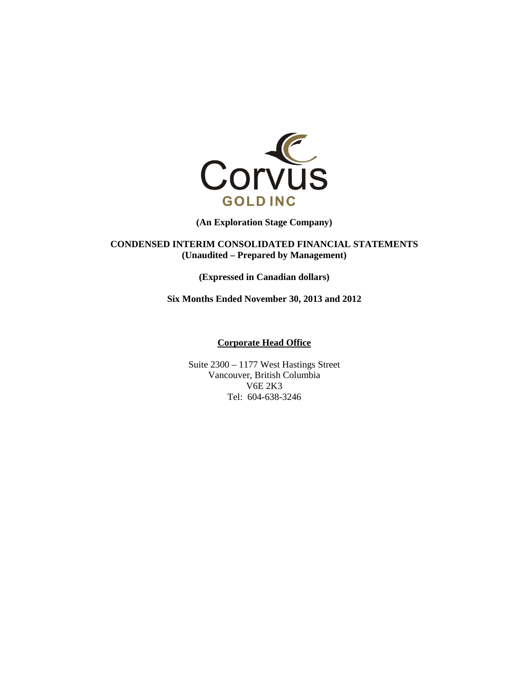

**(An Exploration Stage Company)** 

**CONDENSED INTERIM CONSOLIDATED FINANCIAL STATEMENTS (Unaudited – Prepared by Management)** 

**(Expressed in Canadian dollars)** 

**Six Months Ended November 30, 2013 and 2012** 

## **Corporate Head Office**

Suite 2300 – 1177 West Hastings Street Vancouver, British Columbia V6E 2K3 Tel: 604-638-3246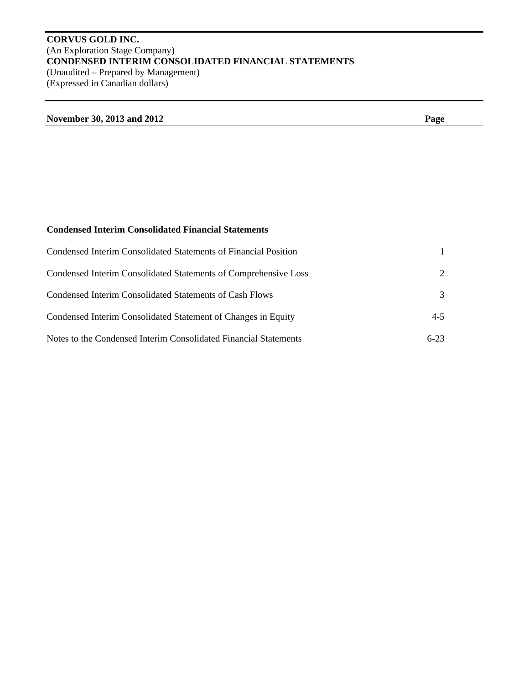# **CORVUS GOLD INC.**  (An Exploration Stage Company) **CONDENSED INTERIM CONSOLIDATED FINANCIAL STATEMENTS**  (Unaudited – Prepared by Management) (Expressed in Canadian dollars)

| November 30, 2013 and 2012 | Page |
|----------------------------|------|
|                            |      |

# **Condensed Interim Consolidated Financial Statements**

| Condensed Interim Consolidated Statements of Financial Position  |                             |
|------------------------------------------------------------------|-----------------------------|
| Condensed Interim Consolidated Statements of Comprehensive Loss  | $\mathcal{D}_{\mathcal{L}}$ |
| Condensed Interim Consolidated Statements of Cash Flows          | 3                           |
| Condensed Interim Consolidated Statement of Changes in Equity    | $4 - 5$                     |
| Notes to the Condensed Interim Consolidated Financial Statements | $6 - 23$                    |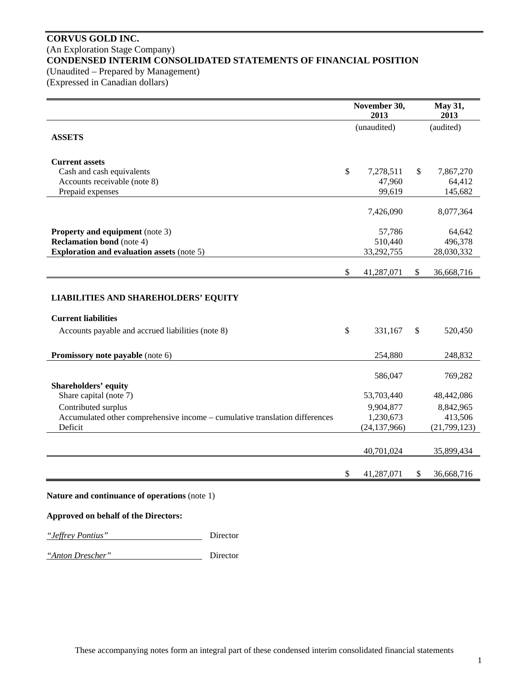## **CORVUS GOLD INC.**  (An Exploration Stage Company) **CONDENSED INTERIM CONSOLIDATED STATEMENTS OF FINANCIAL POSITION**  (Unaudited – Prepared by Management)

(Expressed in Canadian dollars)

|                                                                                        | November 30,<br>2013   |              | May 31,<br>2013      |
|----------------------------------------------------------------------------------------|------------------------|--------------|----------------------|
| <b>ASSETS</b>                                                                          | (unaudited)            |              | (audited)            |
| <b>Current assets</b>                                                                  |                        |              |                      |
| Cash and cash equivalents                                                              | \$<br>7,278,511        | \$           | 7,867,270            |
| Accounts receivable (note 8)                                                           | 47,960                 |              | 64,412               |
| Prepaid expenses                                                                       | 99,619                 |              | 145,682              |
|                                                                                        | 7,426,090              |              | 8,077,364            |
| <b>Property and equipment</b> (note 3)                                                 | 57,786                 |              | 64,642               |
| <b>Reclamation bond</b> (note 4)                                                       | 510,440                |              | 496,378              |
| <b>Exploration and evaluation assets (note 5)</b>                                      | 33,292,755             |              | 28,030,332           |
|                                                                                        | \$<br>41,287,071       | \$           | 36,668,716           |
| <b>LIABILITIES AND SHAREHOLDERS' EQUITY</b><br><b>Current liabilities</b>              |                        |              |                      |
| Accounts payable and accrued liabilities (note 8)                                      | \$<br>331,167          | $\mathbb{S}$ | 520,450              |
| <b>Promissory note payable</b> (note 6)                                                | 254.880                |              | 248,832              |
|                                                                                        | 586,047                |              | 769,282              |
| <b>Shareholders' equity</b>                                                            |                        |              |                      |
| Share capital (note 7)                                                                 | 53,703,440             |              | 48,442,086           |
| Contributed surplus                                                                    | 9,904,877<br>1,230,673 |              | 8,842,965<br>413,506 |
| Accumulated other comprehensive income - cumulative translation differences<br>Deficit | (24, 137, 966)         |              | (21,799,123)         |
|                                                                                        |                        |              |                      |
|                                                                                        | 40,701,024             |              | 35,899,434           |
|                                                                                        | 41,287,071             | \$           | 36,668,716           |

# **Approved on behalf of the Directors:**

*"Jeffrey Pontius"* Director

*"Anton Drescher"* Director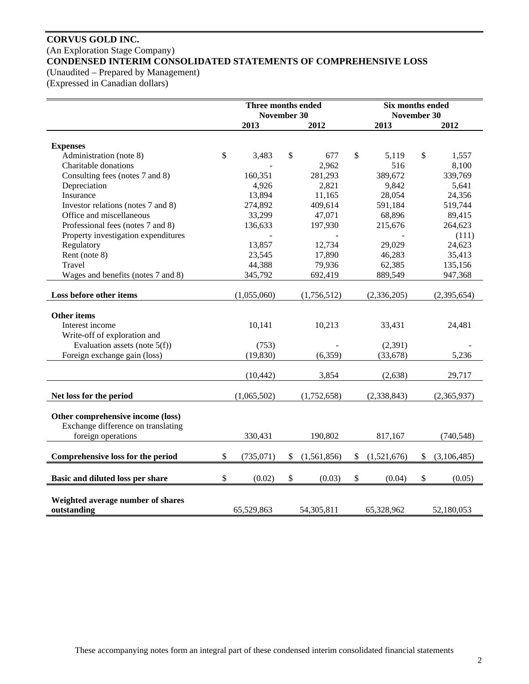# **CORVUS GOLD INC.**  (An Exploration Stage Company) **CONDENSED INTERIM CONSOLIDATED STATEMENTS OF COMPREHENSIVE LOSS**

(Unaudited – Prepared by Management)

(Expressed in Canadian dollars)

|                                                  | Three months ended<br>November 30 |             |    |             |    |             | Six months ended<br>November 30 |             |  |
|--------------------------------------------------|-----------------------------------|-------------|----|-------------|----|-------------|---------------------------------|-------------|--|
|                                                  |                                   | 2013        |    | 2012        |    | 2013        |                                 | 2012        |  |
| <b>Expenses</b>                                  |                                   |             |    |             |    |             |                                 |             |  |
| Administration (note 8)                          | \$                                | 3,483       | \$ | 677         | \$ | 5,119       | \$                              | 1,557       |  |
| Charitable donations                             |                                   |             |    | 2,962       |    | 516         |                                 | 8,100       |  |
| Consulting fees (notes 7 and 8)                  |                                   | 160,351     |    | 281,293     |    | 389,672     |                                 | 339,769     |  |
| Depreciation                                     |                                   | 4,926       |    | 2,821       |    | 9,842       |                                 | 5,641       |  |
| Insurance                                        |                                   | 13,894      |    | 11,165      |    | 28,054      |                                 | 24,356      |  |
| Investor relations (notes 7 and 8)               |                                   | 274,892     |    | 409,614     |    | 591,184     |                                 | 519,744     |  |
| Office and miscellaneous                         |                                   | 33,299      |    | 47,071      |    | 68,896      |                                 | 89,415      |  |
| Professional fees (notes 7 and 8)                |                                   | 136,633     |    | 197,930     |    | 215,676     |                                 | 264,623     |  |
| Property investigation expenditures              |                                   |             |    |             |    |             |                                 | (111)       |  |
| Regulatory                                       |                                   | 13,857      |    | 12,734      |    | 29,029      |                                 | 24,623      |  |
| Rent (note 8)                                    |                                   | 23,545      |    | 17,890      |    | 46,283      |                                 | 35,413      |  |
| Travel                                           |                                   | 44,388      |    | 79,936      |    | 62,385      |                                 | 135,156     |  |
| Wages and benefits (notes 7 and 8)               |                                   | 345,792     |    | 692,419     |    | 889,549     |                                 | 947,368     |  |
| Loss before other items                          |                                   | (1,055,060) |    | (1,756,512) |    | (2,336,205) |                                 | (2,395,654) |  |
|                                                  |                                   |             |    |             |    |             |                                 |             |  |
| <b>Other items</b>                               |                                   |             |    |             |    |             |                                 |             |  |
| Interest income                                  |                                   | 10,141      |    | 10,213      |    | 33,431      |                                 | 24,481      |  |
| Write-off of exploration and                     |                                   |             |    |             |    |             |                                 |             |  |
| Evaluation assets (note $5(f)$ )                 |                                   | (753)       |    |             |    | (2,391)     |                                 |             |  |
| Foreign exchange gain (loss)                     |                                   | (19, 830)   |    | (6,359)     |    | (33, 678)   |                                 | 5,236       |  |
|                                                  |                                   | (10, 442)   |    | 3,854       |    | (2,638)     |                                 | 29,717      |  |
|                                                  |                                   |             |    |             |    |             |                                 |             |  |
| Net loss for the period                          |                                   | (1,065,502) |    | (1,752,658) |    | (2,338,843) |                                 | (2,365,937) |  |
| Other comprehensive income (loss)                |                                   |             |    |             |    |             |                                 |             |  |
| Exchange difference on translating               |                                   |             |    |             |    |             |                                 |             |  |
| foreign operations                               |                                   | 330,431     |    | 190,802     |    | 817,167     |                                 | (740, 548)  |  |
| Comprehensive loss for the period                | \$                                | (735,071)   | \$ | (1,561,856) | \$ | (1,521,676) | \$                              | (3,106,485) |  |
|                                                  |                                   |             |    |             |    |             |                                 |             |  |
| Basic and diluted loss per share                 | \$                                | (0.02)      | \$ | (0.03)      | \$ | (0.04)      | \$                              | (0.05)      |  |
|                                                  |                                   |             |    |             |    |             |                                 |             |  |
| Weighted average number of shares<br>outstanding |                                   | 65,529,863  |    | 54,305,811  |    | 65,328,962  |                                 | 52,180,053  |  |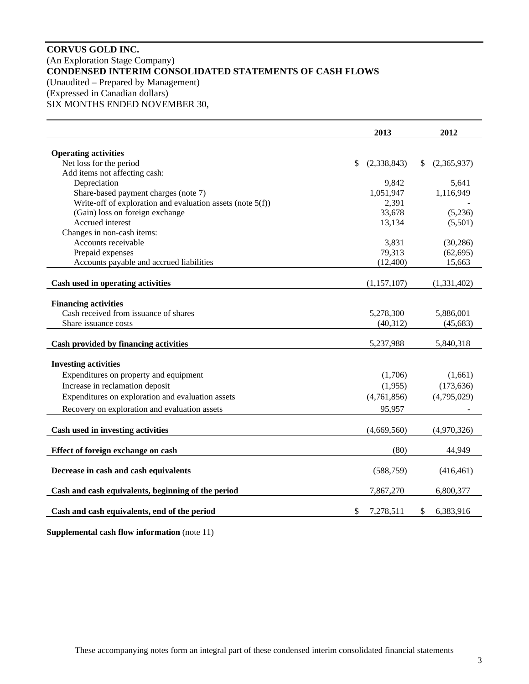# **CORVUS GOLD INC.**  (An Exploration Stage Company) **CONDENSED INTERIM CONSOLIDATED STATEMENTS OF CASH FLOWS**  (Unaudited – Prepared by Management) (Expressed in Canadian dollars)

SIX MONTHS ENDED NOVEMBER 30,

|                                                               | 2013              |    | 2012        |
|---------------------------------------------------------------|-------------------|----|-------------|
| <b>Operating activities</b>                                   |                   |    |             |
| Net loss for the period                                       | \$<br>(2,338,843) | \$ | (2,365,937) |
| Add items not affecting cash:                                 |                   |    |             |
| Depreciation                                                  | 9,842             |    | 5,641       |
| Share-based payment charges (note 7)                          | 1,051,947         |    | 1,116,949   |
| Write-off of exploration and evaluation assets (note $5(f)$ ) | 2,391             |    |             |
| (Gain) loss on foreign exchange                               | 33,678            |    | (5,236)     |
| Accrued interest                                              | 13,134            |    | (5,501)     |
| Changes in non-cash items:                                    |                   |    |             |
| Accounts receivable                                           | 3,831             |    | (30, 286)   |
| Prepaid expenses                                              | 79,313            |    | (62, 695)   |
| Accounts payable and accrued liabilities                      | (12,400)          |    | 15,663      |
|                                                               | (1,157,107)       |    |             |
| Cash used in operating activities                             |                   |    | (1,331,402) |
| <b>Financing activities</b>                                   |                   |    |             |
| Cash received from issuance of shares                         | 5,278,300         |    | 5,886,001   |
| Share issuance costs                                          | (40,312)          |    | (45, 683)   |
| Cash provided by financing activities                         | 5,237,988         |    | 5,840,318   |
|                                                               |                   |    |             |
| <b>Investing activities</b>                                   |                   |    |             |
| Expenditures on property and equipment                        | (1,706)           |    | (1,661)     |
| Increase in reclamation deposit                               | (1,955)           |    | (173, 636)  |
| Expenditures on exploration and evaluation assets             | (4,761,856)       |    | (4,795,029) |
| Recovery on exploration and evaluation assets                 | 95,957            |    |             |
|                                                               |                   |    |             |
| Cash used in investing activities                             | (4,669,560)       |    | (4,970,326) |
| Effect of foreign exchange on cash                            | (80)              |    | 44,949      |
|                                                               |                   |    |             |
| Decrease in cash and cash equivalents                         | (588, 759)        |    | (416, 461)  |
| Cash and cash equivalents, beginning of the period            | 7,867,270         |    | 6,800,377   |
| Cash and cash equivalents, end of the period                  | \$<br>7,278,511   | S  | 6,383,916   |
|                                                               |                   |    |             |

**Supplemental cash flow information** (note 11)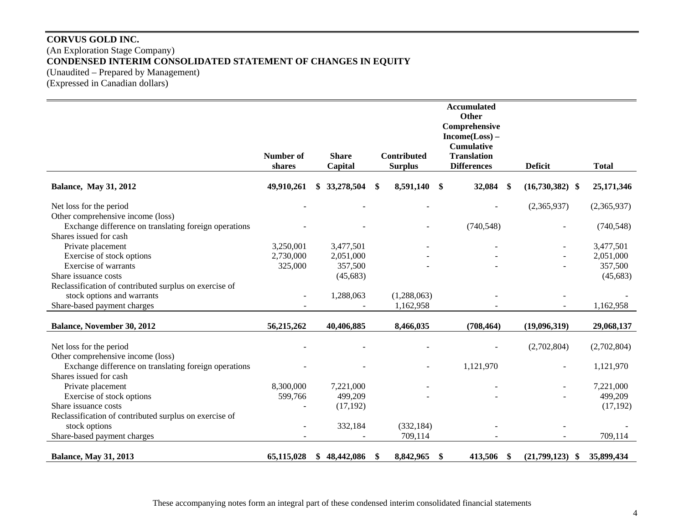# **CORVUS GOLD INC.**  (An Exploration Stage Company) **CONDENSED INTERIM CONSOLIDATED STATEMENT OF CHANGES IN EQUITY**  (Unaudited – Prepared by Management) (Expressed in Canadian dollars)

|                                                        |            |                  |     |                |                   | <b>Accumulated</b><br>Other |     |                     |              |
|--------------------------------------------------------|------------|------------------|-----|----------------|-------------------|-----------------------------|-----|---------------------|--------------|
|                                                        |            |                  |     |                |                   | Comprehensive               |     |                     |              |
|                                                        |            |                  |     |                |                   | $Income(Loss) -$            |     |                     |              |
|                                                        |            |                  |     |                |                   | <b>Cumulative</b>           |     |                     |              |
|                                                        | Number of  | <b>Share</b>     |     | Contributed    |                   | <b>Translation</b>          |     |                     |              |
|                                                        | shares     | Capital          |     | <b>Surplus</b> |                   | <b>Differences</b>          |     | <b>Deficit</b>      | <b>Total</b> |
| <b>Balance, May 31, 2012</b>                           | 49,910,261 | 33,278,504       | \$  | 8,591,140      | \$                | 32,084                      | \$  | $(16,730,382)$ \$   | 25,171,346   |
| Net loss for the period                                |            |                  |     |                |                   |                             |     | (2,365,937)         | (2,365,937)  |
| Other comprehensive income (loss)                      |            |                  |     |                |                   |                             |     |                     |              |
| Exchange difference on translating foreign operations  |            |                  |     |                |                   | (740, 548)                  |     |                     | (740, 548)   |
| Shares issued for cash                                 |            |                  |     |                |                   |                             |     |                     |              |
| Private placement                                      | 3,250,001  | 3,477,501        |     |                |                   |                             |     |                     | 3,477,501    |
| Exercise of stock options                              | 2,730,000  | 2,051,000        |     |                |                   |                             |     |                     | 2,051,000    |
| <b>Exercise of warrants</b>                            | 325,000    | 357,500          |     |                |                   |                             |     |                     | 357,500      |
| Share issuance costs                                   |            | (45, 683)        |     |                |                   |                             |     |                     | (45,683)     |
| Reclassification of contributed surplus on exercise of |            |                  |     |                |                   |                             |     |                     |              |
| stock options and warrants                             |            | 1,288,063        |     | (1,288,063)    |                   |                             |     |                     |              |
| Share-based payment charges                            |            |                  |     | 1,162,958      |                   |                             |     |                     | 1,162,958    |
|                                                        |            |                  |     |                |                   |                             |     |                     |              |
| Balance, November 30, 2012                             | 56,215,262 | 40,406,885       |     | 8,466,035      |                   | (708, 464)                  |     | (19,096,319)        | 29,068,137   |
| Net loss for the period                                |            |                  |     |                |                   |                             |     | (2,702,804)         | (2,702,804)  |
| Other comprehensive income (loss)                      |            |                  |     |                |                   |                             |     |                     |              |
| Exchange difference on translating foreign operations  |            |                  |     |                |                   | 1,121,970                   |     |                     | 1,121,970    |
| Shares issued for cash                                 |            |                  |     |                |                   |                             |     |                     |              |
| Private placement                                      | 8,300,000  | 7,221,000        |     |                |                   |                             |     |                     | 7,221,000    |
| Exercise of stock options                              | 599,766    | 499,209          |     |                |                   |                             |     |                     | 499,209      |
| Share issuance costs                                   |            | (17, 192)        |     |                |                   |                             |     |                     | (17, 192)    |
| Reclassification of contributed surplus on exercise of |            |                  |     |                |                   |                             |     |                     |              |
| stock options                                          |            | 332,184          |     | (332, 184)     |                   |                             |     |                     |              |
| Share-based payment charges                            |            |                  |     | 709,114        |                   |                             |     |                     | 709,114      |
|                                                        |            |                  |     |                |                   |                             |     |                     |              |
| <b>Balance, May 31, 2013</b>                           | 65,115,028 | \$<br>48,442,086 | -SS | 8,842,965      | $\boldsymbol{\$}$ | 413,506                     | -\$ | (21,799,123)<br>-\$ | 35,899,434   |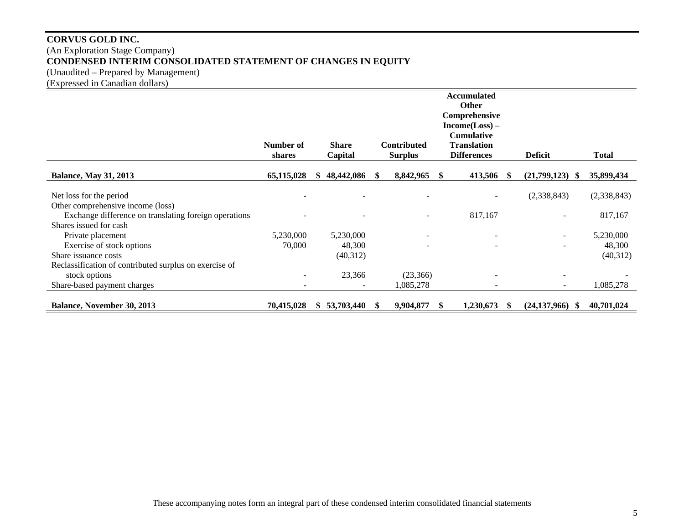# **CORVUS GOLD INC.**  (An Exploration Stage Company) **CONDENSED INTERIM CONSOLIDATED STATEMENT OF CHANGES IN EQUITY**  (Unaudited – Prepared by Management)

(Expressed in Canadian dollars)

|                                                        |                     |     |                         |      |                                      |     | <b>Accumulated</b><br><b>Other</b><br>Comprehensive<br>$Income(Loss) -$ |                          |             |
|--------------------------------------------------------|---------------------|-----|-------------------------|------|--------------------------------------|-----|-------------------------------------------------------------------------|--------------------------|-------------|
|                                                        | Number of<br>shares |     | <b>Share</b><br>Capital |      | <b>Contributed</b><br><b>Surplus</b> |     | <b>Cumulative</b><br><b>Translation</b><br><b>Differences</b>           | <b>Deficit</b>           | Total       |
| <b>Balance, May 31, 2013</b>                           | 65,115,028          | Ж.  | 48,442,086              | - 96 | 8,842,965                            | -SS | 413,506<br>-8                                                           | (21,799,123)<br>SS.      | 35,899,434  |
| Net loss for the period                                |                     |     |                         |      |                                      |     |                                                                         | (2,338,843)              | (2,338,843) |
| Other comprehensive income (loss)                      |                     |     |                         |      |                                      |     |                                                                         |                          |             |
| Exchange difference on translating foreign operations  |                     |     |                         |      | $\overline{\phantom{0}}$             |     | 817,167                                                                 | $\overline{\phantom{a}}$ | 817,167     |
| Shares issued for cash                                 |                     |     |                         |      |                                      |     |                                                                         |                          |             |
| Private placement                                      | 5,230,000           |     | 5,230,000               |      | $\overline{\phantom{a}}$             |     |                                                                         | $\overline{\phantom{a}}$ | 5,230,000   |
| Exercise of stock options                              | 70,000              |     | 48,300                  |      | $\overline{\phantom{a}}$             |     |                                                                         |                          | 48,300      |
| Share issuance costs                                   |                     |     | (40,312)                |      |                                      |     |                                                                         |                          | (40,312)    |
| Reclassification of contributed surplus on exercise of |                     |     |                         |      |                                      |     |                                                                         |                          |             |
| stock options                                          |                     |     | 23,366                  |      | (23,366)                             |     |                                                                         |                          |             |
| Share-based payment charges                            |                     |     |                         |      | 1,085,278                            |     |                                                                         |                          | 1,085,278   |
| <b>Balance, November 30, 2013</b>                      | 70,415,028          | SS. | 53,703,440              |      | 9,904,877                            |     | 1,230,673<br>X,                                                         | (24, 137, 966)<br>-SS    | 40,701,024  |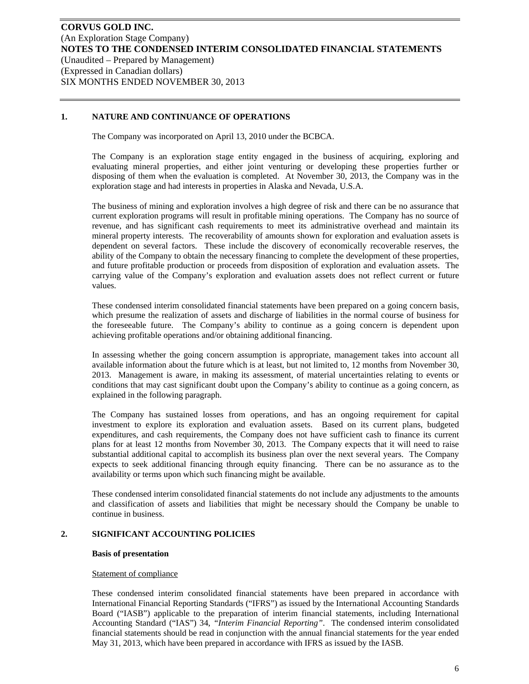## **1. NATURE AND CONTINUANCE OF OPERATIONS**

The Company was incorporated on April 13, 2010 under the BCBCA.

The Company is an exploration stage entity engaged in the business of acquiring, exploring and evaluating mineral properties, and either joint venturing or developing these properties further or disposing of them when the evaluation is completed. At November 30, 2013, the Company was in the exploration stage and had interests in properties in Alaska and Nevada, U.S.A.

The business of mining and exploration involves a high degree of risk and there can be no assurance that current exploration programs will result in profitable mining operations. The Company has no source of revenue, and has significant cash requirements to meet its administrative overhead and maintain its mineral property interests. The recoverability of amounts shown for exploration and evaluation assets is dependent on several factors. These include the discovery of economically recoverable reserves, the ability of the Company to obtain the necessary financing to complete the development of these properties, and future profitable production or proceeds from disposition of exploration and evaluation assets. The carrying value of the Company's exploration and evaluation assets does not reflect current or future values.

These condensed interim consolidated financial statements have been prepared on a going concern basis, which presume the realization of assets and discharge of liabilities in the normal course of business for the foreseeable future. The Company's ability to continue as a going concern is dependent upon achieving profitable operations and/or obtaining additional financing.

In assessing whether the going concern assumption is appropriate, management takes into account all available information about the future which is at least, but not limited to, 12 months from November 30, 2013. Management is aware, in making its assessment, of material uncertainties relating to events or conditions that may cast significant doubt upon the Company's ability to continue as a going concern, as explained in the following paragraph.

The Company has sustained losses from operations, and has an ongoing requirement for capital investment to explore its exploration and evaluation assets. Based on its current plans, budgeted expenditures, and cash requirements, the Company does not have sufficient cash to finance its current plans for at least 12 months from November 30, 2013. The Company expects that it will need to raise substantial additional capital to accomplish its business plan over the next several years. The Company expects to seek additional financing through equity financing. There can be no assurance as to the availability or terms upon which such financing might be available.

These condensed interim consolidated financial statements do not include any adjustments to the amounts and classification of assets and liabilities that might be necessary should the Company be unable to continue in business.

## **2. SIGNIFICANT ACCOUNTING POLICIES**

#### **Basis of presentation**

#### Statement of compliance

These condensed interim consolidated financial statements have been prepared in accordance with International Financial Reporting Standards ("IFRS") as issued by the International Accounting Standards Board ("IASB") applicable to the preparation of interim financial statements, including International Accounting Standard ("IAS") 34, *"Interim Financial Reporting"*. The condensed interim consolidated financial statements should be read in conjunction with the annual financial statements for the year ended May 31, 2013, which have been prepared in accordance with IFRS as issued by the IASB.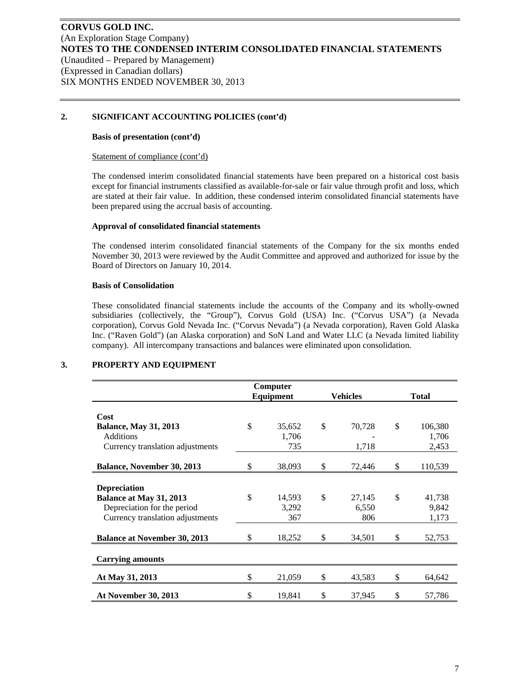## **2. SIGNIFICANT ACCOUNTING POLICIES (cont'd)**

#### **Basis of presentation (cont'd)**

#### Statement of compliance (cont'd)

The condensed interim consolidated financial statements have been prepared on a historical cost basis except for financial instruments classified as available-for-sale or fair value through profit and loss, which are stated at their fair value. In addition, these condensed interim consolidated financial statements have been prepared using the accrual basis of accounting.

## **Approval of consolidated financial statements**

The condensed interim consolidated financial statements of the Company for the six months ended November 30, 2013 were reviewed by the Audit Committee and approved and authorized for issue by the Board of Directors on January 10, 2014.

#### **Basis of Consolidation**

These consolidated financial statements include the accounts of the Company and its wholly-owned subsidiaries (collectively, the "Group"), Corvus Gold (USA) Inc. ("Corvus USA") (a Nevada corporation), Corvus Gold Nevada Inc. ("Corvus Nevada") (a Nevada corporation), Raven Gold Alaska Inc. ("Raven Gold") (an Alaska corporation) and SoN Land and Water LLC (a Nevada limited liability company). All intercompany transactions and balances were eliminated upon consolidation.

|                                                  |               | Computer        |    |                 |              |                  |  |
|--------------------------------------------------|---------------|-----------------|----|-----------------|--------------|------------------|--|
|                                                  |               | Equipment       |    | <b>Vehicles</b> | <b>Total</b> |                  |  |
| Cost                                             |               |                 |    |                 |              |                  |  |
| <b>Balance, May 31, 2013</b><br><b>Additions</b> | $\mathbb{S}$  | 35,652<br>1,706 | \$ | 70,728          | \$           | 106,380<br>1,706 |  |
| Currency translation adjustments                 |               | 735             |    | 1,718           |              | 2,453            |  |
| <b>Balance, November 30, 2013</b>                | \$.           | 38,093          | \$ | 72,446          | \$           | 110,539          |  |
| <b>Depreciation</b>                              |               |                 |    |                 |              |                  |  |
| Balance at May 31, 2013                          | $\mathcal{S}$ | 14,593          | \$ | 27,145          | \$           | 41,738           |  |
| Depreciation for the period                      |               | 3,292           |    | 6,550           |              | 9,842            |  |
| Currency translation adjustments                 |               | 367             |    | 806             |              | 1,173            |  |
| <b>Balance at November 30, 2013</b>              | \$            | 18,252          | \$ | 34,501          | \$           | 52,753           |  |
| <b>Carrying amounts</b>                          |               |                 |    |                 |              |                  |  |
| At May 31, 2013                                  | \$            | 21,059          | \$ | 43,583          | \$           | 64,642           |  |
| <b>At November 30, 2013</b>                      | \$            | 19,841          | \$ | 37,945          | \$           | 57,786           |  |

## **3. PROPERTY AND EQUIPMENT**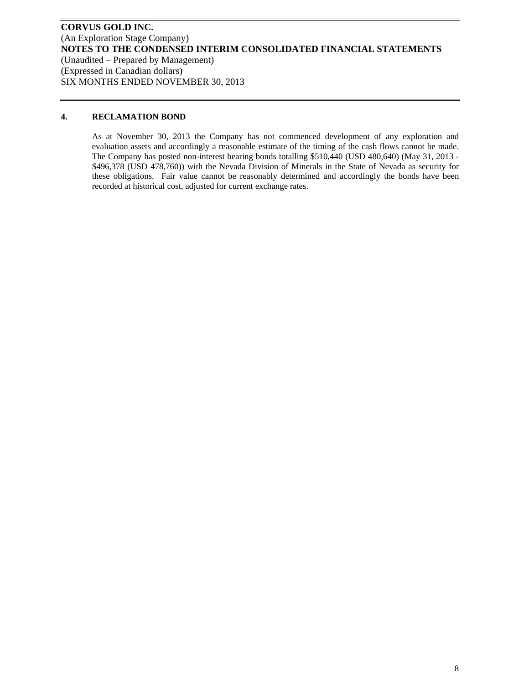## **4. RECLAMATION BOND**

As at November 30, 2013 the Company has not commenced development of any exploration and evaluation assets and accordingly a reasonable estimate of the timing of the cash flows cannot be made. The Company has posted non-interest bearing bonds totalling \$510,440 (USD 480,640) (May 31, 2013 - \$496,378 (USD 478,760)) with the Nevada Division of Minerals in the State of Nevada as security for these obligations. Fair value cannot be reasonably determined and accordingly the bonds have been recorded at historical cost, adjusted for current exchange rates.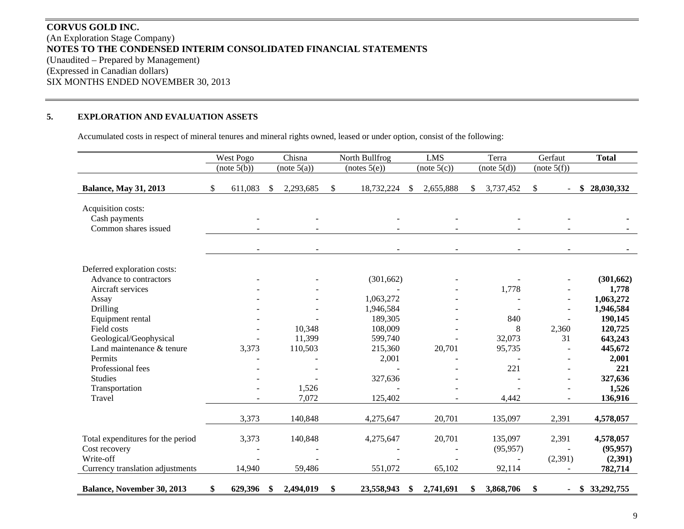# **CORVUS GOLD INC.** (An Exploration Stage Company) **NOTES TO THE CONDENSED INTERIM CONSOLIDATED FINANCIAL STATEMENTS**  (Unaudited – Prepared by Management) (Expressed in Canadian dollars) SIX MONTHS ENDED NOVEMBER 30, 2013

#### **5.EXPLORATION AND EVALUATION ASSETS**

Accumulated costs in respect of mineral tenures and mineral rights owned, leased or under option, consist of the following:

|                                                             | West Pogo     | Chisna          | North Bullfrog   |    | <b>LMS</b>  |    | Terra                    | Gerfaut     | <b>Total</b>     |
|-------------------------------------------------------------|---------------|-----------------|------------------|----|-------------|----|--------------------------|-------------|------------------|
|                                                             | (note 5(b))   | (note 5(a))     | (notes 5(e))     |    | (note 5(c)) |    | (note 5(d))              | (note 5(f)) |                  |
| <b>Balance, May 31, 2013</b>                                | \$<br>611,083 | \$<br>2,293,685 | \$<br>18,732,224 | -S | 2,655,888   | S. | 3,737,452                | \$          | 28,030,332<br>\$ |
| Acquisition costs:<br>Cash payments<br>Common shares issued |               |                 |                  |    |             |    |                          |             |                  |
|                                                             |               |                 |                  |    |             |    |                          |             |                  |
| Deferred exploration costs:                                 |               |                 |                  |    |             |    |                          |             |                  |
| Advance to contractors                                      |               |                 | (301, 662)       |    |             |    |                          |             | (301, 662)       |
| Aircraft services                                           |               |                 |                  |    |             |    | 1,778                    |             | 1,778            |
| Assay                                                       |               |                 | 1,063,272        |    |             |    |                          |             | 1,063,272        |
| Drilling                                                    |               |                 | 1,946,584        |    |             |    |                          |             | 1,946,584        |
| Equipment rental                                            |               |                 | 189,305          |    |             |    | 840                      |             | 190,145          |
| Field costs                                                 |               | 10,348          | 108,009          |    |             |    | 8                        | 2,360       | 120,725          |
| Geological/Geophysical<br>Land maintenance & tenure         |               | 11,399          | 599,740          |    |             |    | 32,073                   | 31          | 643,243          |
| Permits                                                     | 3,373         | 110,503         | 215,360          |    | 20,701      |    | 95,735                   |             | 445,672          |
| Professional fees                                           |               |                 | 2,001            |    |             |    |                          |             | 2,001<br>221     |
| <b>Studies</b>                                              |               |                 |                  |    |             |    | 221                      |             | 327,636          |
|                                                             |               |                 | 327,636          |    |             |    |                          |             |                  |
| Transportation<br>Travel                                    |               | 1,526<br>7,072  | 125,402          |    |             |    | 4,442                    |             | 1,526<br>136,916 |
|                                                             |               |                 |                  |    |             |    |                          |             |                  |
|                                                             | 3,373         | 140,848         | 4,275,647        |    | 20,701      |    | 135,097                  | 2,391       | 4,578,057        |
| Total expenditures for the period                           | 3,373         | 140,848         | 4,275,647        |    | 20,701      |    | 135,097                  | 2,391       | 4,578,057        |
| Cost recovery                                               |               |                 |                  |    |             |    | (95, 957)                | $\sim$      | (95, 957)        |
| Write-off                                                   |               |                 |                  |    |             |    | $\overline{\phantom{a}}$ | (2,391)     | (2,391)          |
| Currency translation adjustments                            | 14,940        | 59,486          | 551,072          |    | 65,102      |    | 92,114                   |             | 782,714          |
| Balance, November 30, 2013                                  | \$<br>629,396 | \$<br>2,494,019 | \$<br>23,558,943 | \$ | 2,741,691   |    | 3,868,706                | \$          | 33,292,755<br>\$ |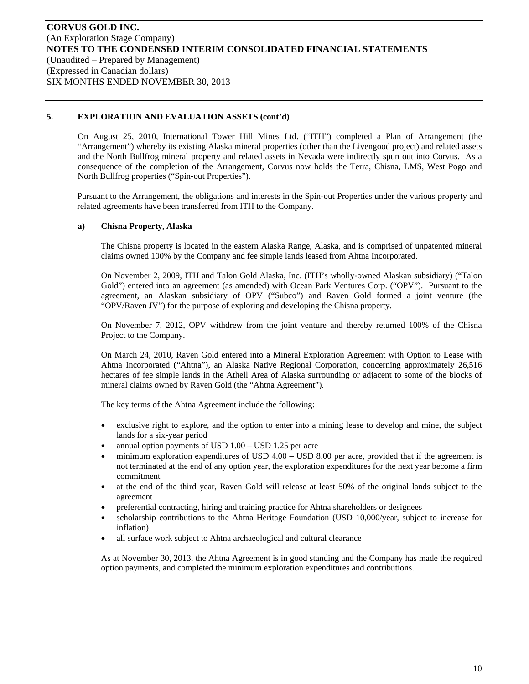On August 25, 2010, International Tower Hill Mines Ltd. ("ITH") completed a Plan of Arrangement (the "Arrangement") whereby its existing Alaska mineral properties (other than the Livengood project) and related assets and the North Bullfrog mineral property and related assets in Nevada were indirectly spun out into Corvus. As a consequence of the completion of the Arrangement, Corvus now holds the Terra, Chisna, LMS, West Pogo and North Bullfrog properties ("Spin-out Properties").

Pursuant to the Arrangement, the obligations and interests in the Spin-out Properties under the various property and related agreements have been transferred from ITH to the Company.

## **a) Chisna Property, Alaska**

The Chisna property is located in the eastern Alaska Range, Alaska, and is comprised of unpatented mineral claims owned 100% by the Company and fee simple lands leased from Ahtna Incorporated.

On November 2, 2009, ITH and Talon Gold Alaska, Inc. (ITH's wholly-owned Alaskan subsidiary) ("Talon Gold") entered into an agreement (as amended) with Ocean Park Ventures Corp. ("OPV"). Pursuant to the agreement, an Alaskan subsidiary of OPV ("Subco") and Raven Gold formed a joint venture (the "OPV/Raven JV") for the purpose of exploring and developing the Chisna property.

On November 7, 2012, OPV withdrew from the joint venture and thereby returned 100% of the Chisna Project to the Company.

On March 24, 2010, Raven Gold entered into a Mineral Exploration Agreement with Option to Lease with Ahtna Incorporated ("Ahtna"), an Alaska Native Regional Corporation, concerning approximately 26,516 hectares of fee simple lands in the Athell Area of Alaska surrounding or adjacent to some of the blocks of mineral claims owned by Raven Gold (the "Ahtna Agreement").

The key terms of the Ahtna Agreement include the following:

- exclusive right to explore, and the option to enter into a mining lease to develop and mine, the subject lands for a six-year period
- annual option payments of USD 1.00 USD 1.25 per acre
- minimum exploration expenditures of USD 4.00 USD 8.00 per acre, provided that if the agreement is not terminated at the end of any option year, the exploration expenditures for the next year become a firm commitment
- at the end of the third year, Raven Gold will release at least 50% of the original lands subject to the agreement
- preferential contracting, hiring and training practice for Ahtna shareholders or designees
- scholarship contributions to the Ahtna Heritage Foundation (USD 10,000/year, subject to increase for inflation)
- all surface work subject to Ahtna archaeological and cultural clearance

As at November 30, 2013, the Ahtna Agreement is in good standing and the Company has made the required option payments, and completed the minimum exploration expenditures and contributions.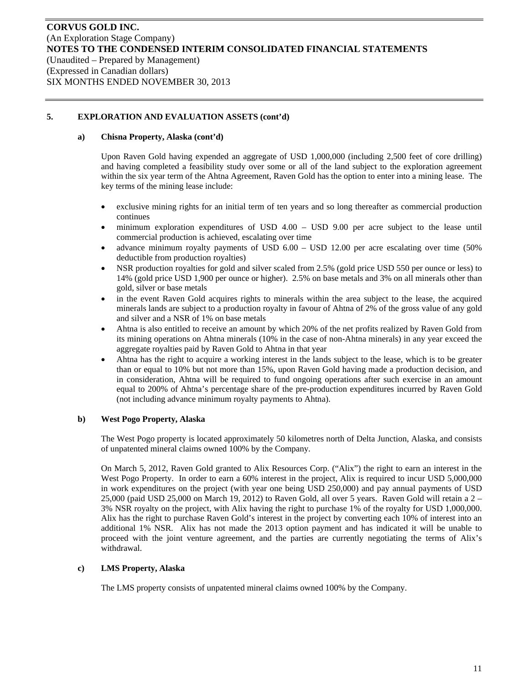## **a) Chisna Property, Alaska (cont'd)**

Upon Raven Gold having expended an aggregate of USD 1,000,000 (including 2,500 feet of core drilling) and having completed a feasibility study over some or all of the land subject to the exploration agreement within the six year term of the Ahtna Agreement, Raven Gold has the option to enter into a mining lease. The key terms of the mining lease include:

- exclusive mining rights for an initial term of ten years and so long thereafter as commercial production continues
- minimum exploration expenditures of USD 4.00 USD 9.00 per acre subject to the lease until commercial production is achieved, escalating over time
- advance minimum royalty payments of USD 6.00 USD 12.00 per acre escalating over time (50% deductible from production royalties)
- NSR production royalties for gold and silver scaled from 2.5% (gold price USD 550 per ounce or less) to 14% (gold price USD 1,900 per ounce or higher). 2.5% on base metals and 3% on all minerals other than gold, silver or base metals
- in the event Raven Gold acquires rights to minerals within the area subject to the lease, the acquired minerals lands are subject to a production royalty in favour of Ahtna of 2% of the gross value of any gold and silver and a NSR of 1% on base metals
- Ahtna is also entitled to receive an amount by which 20% of the net profits realized by Raven Gold from its mining operations on Ahtna minerals (10% in the case of non-Ahtna minerals) in any year exceed the aggregate royalties paid by Raven Gold to Ahtna in that year
- Ahtna has the right to acquire a working interest in the lands subject to the lease, which is to be greater than or equal to 10% but not more than 15%, upon Raven Gold having made a production decision, and in consideration, Ahtna will be required to fund ongoing operations after such exercise in an amount equal to 200% of Ahtna's percentage share of the pre-production expenditures incurred by Raven Gold (not including advance minimum royalty payments to Ahtna).

## **b) West Pogo Property, Alaska**

The West Pogo property is located approximately 50 kilometres north of Delta Junction, Alaska, and consists of unpatented mineral claims owned 100% by the Company.

On March 5, 2012, Raven Gold granted to Alix Resources Corp. ("Alix") the right to earn an interest in the West Pogo Property. In order to earn a 60% interest in the project, Alix is required to incur USD 5,000,000 in work expenditures on the project (with year one being USD 250,000) and pay annual payments of USD 25,000 (paid USD 25,000 on March 19, 2012) to Raven Gold, all over 5 years. Raven Gold will retain a 2 – 3% NSR royalty on the project, with Alix having the right to purchase 1% of the royalty for USD 1,000,000. Alix has the right to purchase Raven Gold's interest in the project by converting each 10% of interest into an additional 1% NSR. Alix has not made the 2013 option payment and has indicated it will be unable to proceed with the joint venture agreement, and the parties are currently negotiating the terms of Alix's withdrawal.

# **c) LMS Property, Alaska**

The LMS property consists of unpatented mineral claims owned 100% by the Company.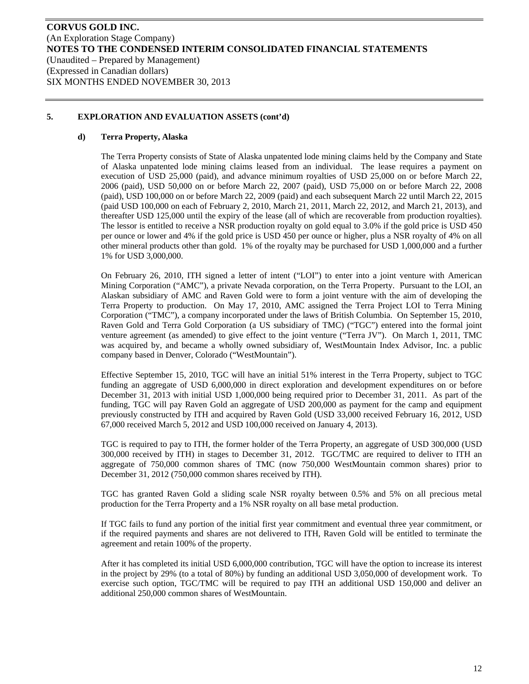## **d) Terra Property, Alaska**

The Terra Property consists of State of Alaska unpatented lode mining claims held by the Company and State of Alaska unpatented lode mining claims leased from an individual. The lease requires a payment on execution of USD 25,000 (paid), and advance minimum royalties of USD 25,000 on or before March 22, 2006 (paid), USD 50,000 on or before March 22, 2007 (paid), USD 75,000 on or before March 22, 2008 (paid), USD 100,000 on or before March 22, 2009 (paid) and each subsequent March 22 until March 22, 2015 (paid USD 100,000 on each of February 2, 2010, March 21, 2011, March 22, 2012, and March 21, 2013), and thereafter USD 125,000 until the expiry of the lease (all of which are recoverable from production royalties). The lessor is entitled to receive a NSR production royalty on gold equal to 3.0% if the gold price is USD 450 per ounce or lower and 4% if the gold price is USD 450 per ounce or higher, plus a NSR royalty of 4% on all other mineral products other than gold. 1% of the royalty may be purchased for USD 1,000,000 and a further 1% for USD 3,000,000.

On February 26, 2010, ITH signed a letter of intent ("LOI") to enter into a joint venture with American Mining Corporation ("AMC"), a private Nevada corporation, on the Terra Property. Pursuant to the LOI, an Alaskan subsidiary of AMC and Raven Gold were to form a joint venture with the aim of developing the Terra Property to production. On May 17, 2010, AMC assigned the Terra Project LOI to Terra Mining Corporation ("TMC"), a company incorporated under the laws of British Columbia. On September 15, 2010, Raven Gold and Terra Gold Corporation (a US subsidiary of TMC) ("TGC") entered into the formal joint venture agreement (as amended) to give effect to the joint venture ("Terra JV"). On March 1, 2011, TMC was acquired by, and became a wholly owned subsidiary of, WestMountain Index Advisor, Inc. a public company based in Denver, Colorado ("WestMountain").

Effective September 15, 2010, TGC will have an initial 51% interest in the Terra Property, subject to TGC funding an aggregate of USD 6,000,000 in direct exploration and development expenditures on or before December 31, 2013 with initial USD 1,000,000 being required prior to December 31, 2011. As part of the funding, TGC will pay Raven Gold an aggregate of USD 200,000 as payment for the camp and equipment previously constructed by ITH and acquired by Raven Gold (USD 33,000 received February 16, 2012, USD 67,000 received March 5, 2012 and USD 100,000 received on January 4, 2013).

TGC is required to pay to ITH, the former holder of the Terra Property, an aggregate of USD 300,000 (USD 300,000 received by ITH) in stages to December 31, 2012. TGC/TMC are required to deliver to ITH an aggregate of 750,000 common shares of TMC (now 750,000 WestMountain common shares) prior to December 31, 2012 (750,000 common shares received by ITH).

TGC has granted Raven Gold a sliding scale NSR royalty between 0.5% and 5% on all precious metal production for the Terra Property and a 1% NSR royalty on all base metal production.

If TGC fails to fund any portion of the initial first year commitment and eventual three year commitment, or if the required payments and shares are not delivered to ITH, Raven Gold will be entitled to terminate the agreement and retain 100% of the property.

After it has completed its initial USD 6,000,000 contribution, TGC will have the option to increase its interest in the project by 29% (to a total of 80%) by funding an additional USD 3,050,000 of development work. To exercise such option, TGC/TMC will be required to pay ITH an additional USD 150,000 and deliver an additional 250,000 common shares of WestMountain.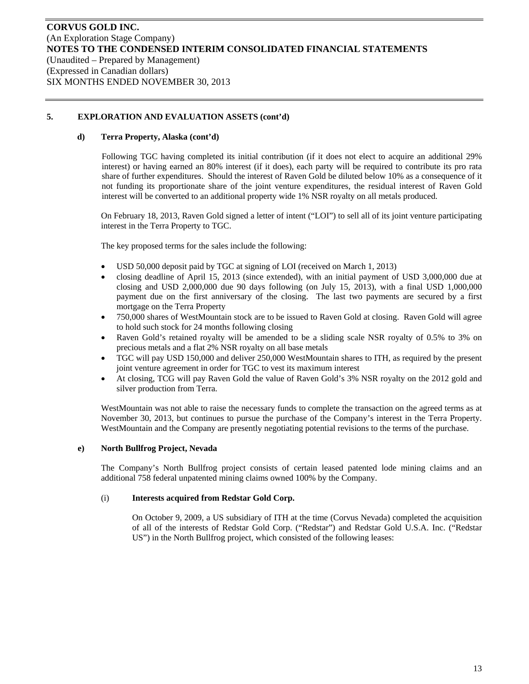## **d) Terra Property, Alaska (cont'd)**

Following TGC having completed its initial contribution (if it does not elect to acquire an additional 29% interest) or having earned an 80% interest (if it does), each party will be required to contribute its pro rata share of further expenditures. Should the interest of Raven Gold be diluted below 10% as a consequence of it not funding its proportionate share of the joint venture expenditures, the residual interest of Raven Gold interest will be converted to an additional property wide 1% NSR royalty on all metals produced.

On February 18, 2013, Raven Gold signed a letter of intent ("LOI") to sell all of its joint venture participating interest in the Terra Property to TGC.

The key proposed terms for the sales include the following:

- USD 50,000 deposit paid by TGC at signing of LOI (received on March 1, 2013)
- closing deadline of April 15, 2013 (since extended), with an initial payment of USD 3,000,000 due at closing and USD 2,000,000 due 90 days following (on July 15, 2013), with a final USD 1,000,000 payment due on the first anniversary of the closing. The last two payments are secured by a first mortgage on the Terra Property
- 750,000 shares of WestMountain stock are to be issued to Raven Gold at closing. Raven Gold will agree to hold such stock for 24 months following closing
- Raven Gold's retained royalty will be amended to be a sliding scale NSR royalty of 0.5% to 3% on precious metals and a flat 2% NSR royalty on all base metals
- TGC will pay USD 150,000 and deliver 250,000 WestMountain shares to ITH, as required by the present joint venture agreement in order for TGC to vest its maximum interest
- At closing, TCG will pay Raven Gold the value of Raven Gold's 3% NSR royalty on the 2012 gold and silver production from Terra.

WestMountain was not able to raise the necessary funds to complete the transaction on the agreed terms as at November 30, 2013, but continues to pursue the purchase of the Company's interest in the Terra Property. WestMountain and the Company are presently negotiating potential revisions to the terms of the purchase.

## **e) North Bullfrog Project, Nevada**

The Company's North Bullfrog project consists of certain leased patented lode mining claims and an additional 758 federal unpatented mining claims owned 100% by the Company.

## (i) **Interests acquired from Redstar Gold Corp.**

On October 9, 2009, a US subsidiary of ITH at the time (Corvus Nevada) completed the acquisition of all of the interests of Redstar Gold Corp. ("Redstar") and Redstar Gold U.S.A. Inc. ("Redstar US") in the North Bullfrog project, which consisted of the following leases: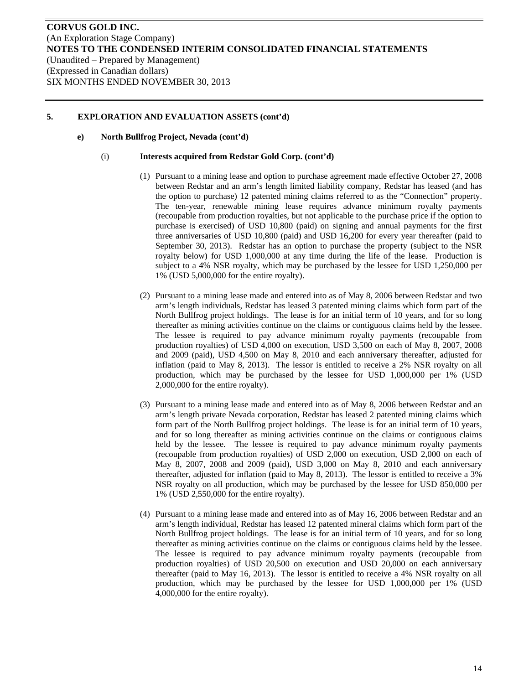## **e) North Bullfrog Project, Nevada (cont'd)**

#### (i) **Interests acquired from Redstar Gold Corp. (cont'd)**

- (1) Pursuant to a mining lease and option to purchase agreement made effective October 27, 2008 between Redstar and an arm's length limited liability company, Redstar has leased (and has the option to purchase) 12 patented mining claims referred to as the "Connection" property. The ten-year, renewable mining lease requires advance minimum royalty payments (recoupable from production royalties, but not applicable to the purchase price if the option to purchase is exercised) of USD 10,800 (paid) on signing and annual payments for the first three anniversaries of USD 10,800 (paid) and USD 16,200 for every year thereafter (paid to September 30, 2013). Redstar has an option to purchase the property (subject to the NSR royalty below) for USD 1,000,000 at any time during the life of the lease. Production is subject to a 4% NSR royalty, which may be purchased by the lessee for USD 1,250,000 per 1% (USD 5,000,000 for the entire royalty).
- (2) Pursuant to a mining lease made and entered into as of May 8, 2006 between Redstar and two arm's length individuals, Redstar has leased 3 patented mining claims which form part of the North Bullfrog project holdings. The lease is for an initial term of 10 years, and for so long thereafter as mining activities continue on the claims or contiguous claims held by the lessee. The lessee is required to pay advance minimum royalty payments (recoupable from production royalties) of USD 4,000 on execution, USD 3,500 on each of May 8, 2007, 2008 and 2009 (paid), USD 4,500 on May 8, 2010 and each anniversary thereafter, adjusted for inflation (paid to May 8, 2013). The lessor is entitled to receive a 2% NSR royalty on all production, which may be purchased by the lessee for USD 1,000,000 per 1% (USD 2,000,000 for the entire royalty).
- (3) Pursuant to a mining lease made and entered into as of May 8, 2006 between Redstar and an arm's length private Nevada corporation, Redstar has leased 2 patented mining claims which form part of the North Bullfrog project holdings. The lease is for an initial term of 10 years, and for so long thereafter as mining activities continue on the claims or contiguous claims held by the lessee. The lessee is required to pay advance minimum royalty payments (recoupable from production royalties) of USD 2,000 on execution, USD 2,000 on each of May 8, 2007, 2008 and 2009 (paid), USD 3,000 on May 8, 2010 and each anniversary thereafter, adjusted for inflation (paid to May 8, 2013). The lessor is entitled to receive a 3% NSR royalty on all production, which may be purchased by the lessee for USD 850,000 per 1% (USD 2,550,000 for the entire royalty).
- (4) Pursuant to a mining lease made and entered into as of May 16, 2006 between Redstar and an arm's length individual, Redstar has leased 12 patented mineral claims which form part of the North Bullfrog project holdings. The lease is for an initial term of 10 years, and for so long thereafter as mining activities continue on the claims or contiguous claims held by the lessee. The lessee is required to pay advance minimum royalty payments (recoupable from production royalties) of USD 20,500 on execution and USD 20,000 on each anniversary thereafter (paid to May 16, 2013). The lessor is entitled to receive a 4% NSR royalty on all production, which may be purchased by the lessee for USD 1,000,000 per 1% (USD 4,000,000 for the entire royalty).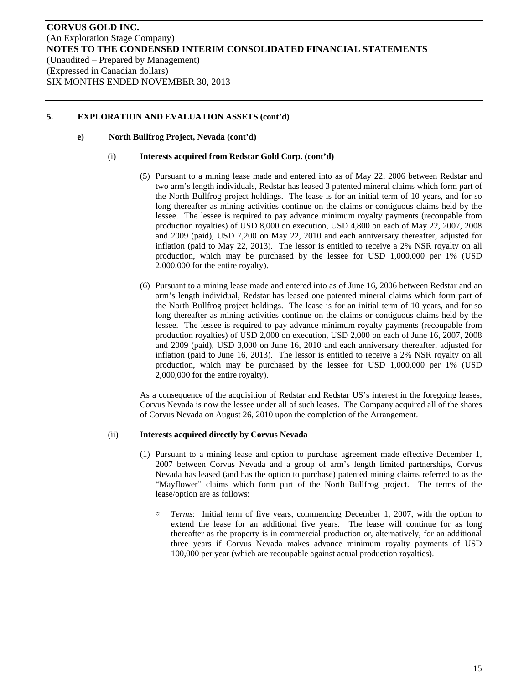## **e) North Bullfrog Project, Nevada (cont'd)**

#### (i) **Interests acquired from Redstar Gold Corp. (cont'd)**

- (5) Pursuant to a mining lease made and entered into as of May 22, 2006 between Redstar and two arm's length individuals, Redstar has leased 3 patented mineral claims which form part of the North Bullfrog project holdings. The lease is for an initial term of 10 years, and for so long thereafter as mining activities continue on the claims or contiguous claims held by the lessee. The lessee is required to pay advance minimum royalty payments (recoupable from production royalties) of USD 8,000 on execution, USD 4,800 on each of May 22, 2007, 2008 and 2009 (paid), USD 7,200 on May 22, 2010 and each anniversary thereafter, adjusted for inflation (paid to May 22, 2013). The lessor is entitled to receive a 2% NSR royalty on all production, which may be purchased by the lessee for USD 1,000,000 per 1% (USD 2,000,000 for the entire royalty).
- (6) Pursuant to a mining lease made and entered into as of June 16, 2006 between Redstar and an arm's length individual, Redstar has leased one patented mineral claims which form part of the North Bullfrog project holdings. The lease is for an initial term of 10 years, and for so long thereafter as mining activities continue on the claims or contiguous claims held by the lessee. The lessee is required to pay advance minimum royalty payments (recoupable from production royalties) of USD 2,000 on execution, USD 2,000 on each of June 16, 2007, 2008 and 2009 (paid), USD 3,000 on June 16, 2010 and each anniversary thereafter, adjusted for inflation (paid to June 16, 2013). The lessor is entitled to receive a 2% NSR royalty on all production, which may be purchased by the lessee for USD 1,000,000 per 1% (USD 2,000,000 for the entire royalty).

As a consequence of the acquisition of Redstar and Redstar US's interest in the foregoing leases, Corvus Nevada is now the lessee under all of such leases. The Company acquired all of the shares of Corvus Nevada on August 26, 2010 upon the completion of the Arrangement.

#### (ii) **Interests acquired directly by Corvus Nevada**

- (1) Pursuant to a mining lease and option to purchase agreement made effective December 1, 2007 between Corvus Nevada and a group of arm's length limited partnerships, Corvus Nevada has leased (and has the option to purchase) patented mining claims referred to as the "Mayflower" claims which form part of the North Bullfrog project. The terms of the lease/option are as follows:
	- ¤ *Terms*: Initial term of five years, commencing December 1, 2007, with the option to extend the lease for an additional five years. The lease will continue for as long thereafter as the property is in commercial production or, alternatively, for an additional three years if Corvus Nevada makes advance minimum royalty payments of USD 100,000 per year (which are recoupable against actual production royalties).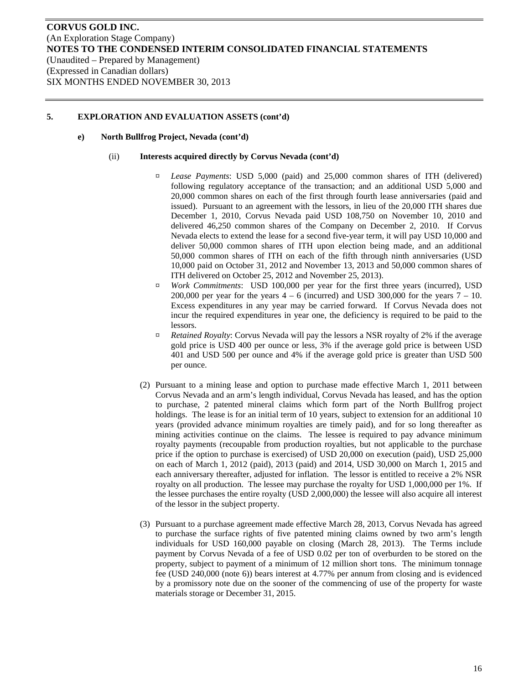## **e) North Bullfrog Project, Nevada (cont'd)**

#### (ii) **Interests acquired directly by Corvus Nevada (cont'd)**

- ¤ *Lease Payments*: USD 5,000 (paid) and 25,000 common shares of ITH (delivered) following regulatory acceptance of the transaction; and an additional USD 5,000 and 20,000 common shares on each of the first through fourth lease anniversaries (paid and issued). Pursuant to an agreement with the lessors, in lieu of the 20,000 ITH shares due December 1, 2010, Corvus Nevada paid USD 108,750 on November 10, 2010 and delivered 46,250 common shares of the Company on December 2, 2010. If Corvus Nevada elects to extend the lease for a second five-year term, it will pay USD 10,000 and deliver 50,000 common shares of ITH upon election being made, and an additional 50,000 common shares of ITH on each of the fifth through ninth anniversaries (USD 10,000 paid on October 31, 2012 and November 13, 2013 and 50,000 common shares of ITH delivered on October 25, 2012 and November 25, 2013).
- ¤ *Work Commitments*: USD 100,000 per year for the first three years (incurred), USD 200,000 per year for the years  $4 - 6$  (incurred) and USD 300,000 for the years  $7 - 10$ . Excess expenditures in any year may be carried forward. If Corvus Nevada does not incur the required expenditures in year one, the deficiency is required to be paid to the lessors.
- ¤ *Retained Royalty*: Corvus Nevada will pay the lessors a NSR royalty of 2% if the average gold price is USD 400 per ounce or less, 3% if the average gold price is between USD 401 and USD 500 per ounce and 4% if the average gold price is greater than USD 500 per ounce.
- (2) Pursuant to a mining lease and option to purchase made effective March 1, 2011 between Corvus Nevada and an arm's length individual, Corvus Nevada has leased, and has the option to purchase, 2 patented mineral claims which form part of the North Bullfrog project holdings. The lease is for an initial term of 10 years, subject to extension for an additional 10 years (provided advance minimum royalties are timely paid), and for so long thereafter as mining activities continue on the claims. The lessee is required to pay advance minimum royalty payments (recoupable from production royalties, but not applicable to the purchase price if the option to purchase is exercised) of USD 20,000 on execution (paid), USD 25,000 on each of March 1, 2012 (paid), 2013 (paid) and 2014, USD 30,000 on March 1, 2015 and each anniversary thereafter, adjusted for inflation. The lessor is entitled to receive a 2% NSR royalty on all production. The lessee may purchase the royalty for USD 1,000,000 per 1%. If the lessee purchases the entire royalty (USD 2,000,000) the lessee will also acquire all interest of the lessor in the subject property.
- (3) Pursuant to a purchase agreement made effective March 28, 2013, Corvus Nevada has agreed to purchase the surface rights of five patented mining claims owned by two arm's length individuals for USD 160,000 payable on closing (March 28, 2013). The Terms include payment by Corvus Nevada of a fee of USD 0.02 per ton of overburden to be stored on the property, subject to payment of a minimum of 12 million short tons. The minimum tonnage fee (USD 240,000 (note 6)) bears interest at 4.77% per annum from closing and is evidenced by a promissory note due on the sooner of the commencing of use of the property for waste materials storage or December 31, 2015.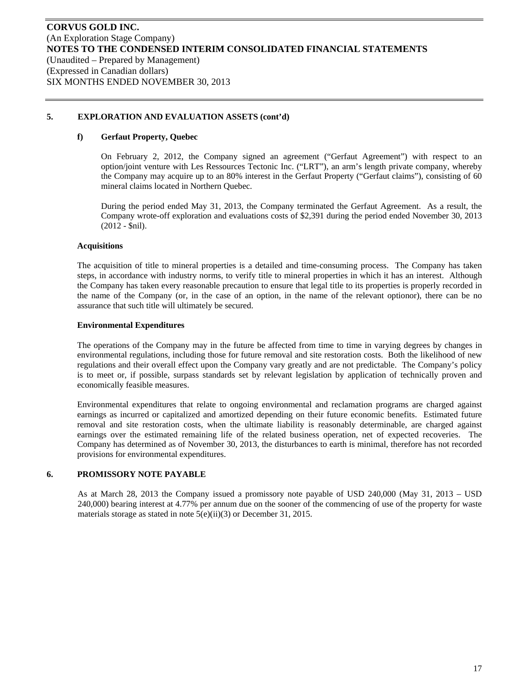#### **f) Gerfaut Property, Quebec**

On February 2, 2012, the Company signed an agreement ("Gerfaut Agreement") with respect to an option/joint venture with Les Ressources Tectonic Inc. ("LRT"), an arm's length private company, whereby the Company may acquire up to an 80% interest in the Gerfaut Property ("Gerfaut claims"), consisting of 60 mineral claims located in Northern Quebec.

During the period ended May 31, 2013, the Company terminated the Gerfaut Agreement. As a result, the Company wrote-off exploration and evaluations costs of \$2,391 during the period ended November 30, 2013 (2012 - \$nil).

#### **Acquisitions**

The acquisition of title to mineral properties is a detailed and time-consuming process. The Company has taken steps, in accordance with industry norms, to verify title to mineral properties in which it has an interest. Although the Company has taken every reasonable precaution to ensure that legal title to its properties is properly recorded in the name of the Company (or, in the case of an option, in the name of the relevant optionor), there can be no assurance that such title will ultimately be secured.

#### **Environmental Expenditures**

The operations of the Company may in the future be affected from time to time in varying degrees by changes in environmental regulations, including those for future removal and site restoration costs. Both the likelihood of new regulations and their overall effect upon the Company vary greatly and are not predictable. The Company's policy is to meet or, if possible, surpass standards set by relevant legislation by application of technically proven and economically feasible measures.

Environmental expenditures that relate to ongoing environmental and reclamation programs are charged against earnings as incurred or capitalized and amortized depending on their future economic benefits. Estimated future removal and site restoration costs, when the ultimate liability is reasonably determinable, are charged against earnings over the estimated remaining life of the related business operation, net of expected recoveries. The Company has determined as of November 30, 2013, the disturbances to earth is minimal, therefore has not recorded provisions for environmental expenditures.

## **6. PROMISSORY NOTE PAYABLE**

As at March 28, 2013 the Company issued a promissory note payable of USD 240,000 (May 31, 2013 – USD 240,000) bearing interest at 4.77% per annum due on the sooner of the commencing of use of the property for waste materials storage as stated in note 5(e)(ii)(3) or December 31, 2015.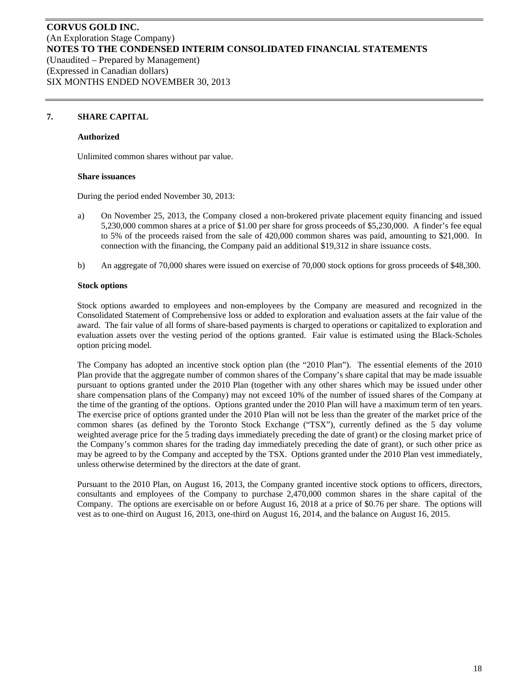## **7. SHARE CAPITAL**

## **Authorized**

Unlimited common shares without par value.

#### **Share issuances**

During the period ended November 30, 2013:

- a) On November 25, 2013, the Company closed a non-brokered private placement equity financing and issued 5,230,000 common shares at a price of \$1.00 per share for gross proceeds of \$5,230,000. A finder's fee equal to 5% of the proceeds raised from the sale of 420,000 common shares was paid, amounting to \$21,000. In connection with the financing, the Company paid an additional \$19,312 in share issuance costs.
- b) An aggregate of 70,000 shares were issued on exercise of 70,000 stock options for gross proceeds of \$48,300.

#### **Stock options**

Stock options awarded to employees and non-employees by the Company are measured and recognized in the Consolidated Statement of Comprehensive loss or added to exploration and evaluation assets at the fair value of the award. The fair value of all forms of share-based payments is charged to operations or capitalized to exploration and evaluation assets over the vesting period of the options granted. Fair value is estimated using the Black-Scholes option pricing model.

The Company has adopted an incentive stock option plan (the "2010 Plan"). The essential elements of the 2010 Plan provide that the aggregate number of common shares of the Company's share capital that may be made issuable pursuant to options granted under the 2010 Plan (together with any other shares which may be issued under other share compensation plans of the Company) may not exceed 10% of the number of issued shares of the Company at the time of the granting of the options. Options granted under the 2010 Plan will have a maximum term of ten years. The exercise price of options granted under the 2010 Plan will not be less than the greater of the market price of the common shares (as defined by the Toronto Stock Exchange ("TSX"), currently defined as the 5 day volume weighted average price for the 5 trading days immediately preceding the date of grant) or the closing market price of the Company's common shares for the trading day immediately preceding the date of grant), or such other price as may be agreed to by the Company and accepted by the TSX. Options granted under the 2010 Plan vest immediately, unless otherwise determined by the directors at the date of grant.

Pursuant to the 2010 Plan, on August 16, 2013, the Company granted incentive stock options to officers, directors, consultants and employees of the Company to purchase 2,470,000 common shares in the share capital of the Company. The options are exercisable on or before August 16, 2018 at a price of \$0.76 per share. The options will vest as to one-third on August 16, 2013, one-third on August 16, 2014, and the balance on August 16, 2015.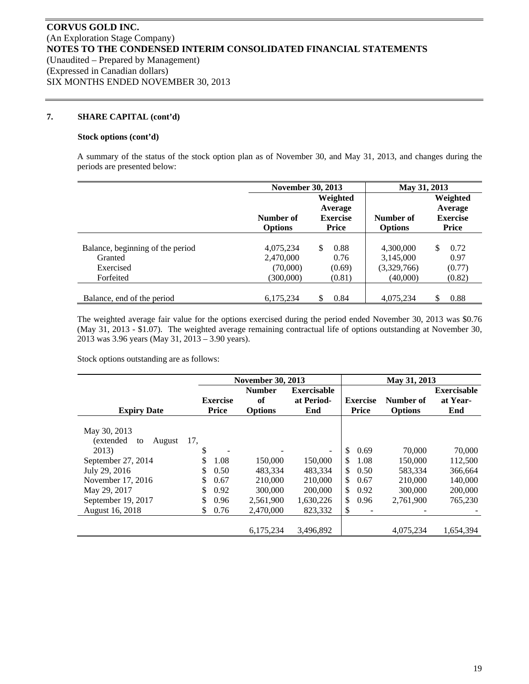## **7. SHARE CAPITAL (cont'd)**

#### **Stock options (cont'd)**

A summary of the status of the stock option plan as of November 30, and May 31, 2013, and changes during the periods are presented below:

|                                                                       | <b>November 30, 2013</b>                        |                                                        | May 31, 2013                                      |                                                        |  |  |
|-----------------------------------------------------------------------|-------------------------------------------------|--------------------------------------------------------|---------------------------------------------------|--------------------------------------------------------|--|--|
|                                                                       | Number of<br><b>Options</b>                     | Weighted<br>Average<br><b>Exercise</b><br><b>Price</b> | Number of<br><b>Options</b>                       | Weighted<br>Average<br><b>Exercise</b><br><b>Price</b> |  |  |
| Balance, beginning of the period<br>Granted<br>Exercised<br>Forfeited | 4,075,234<br>2,470,000<br>(70,000)<br>(300,000) | \$.<br>0.88<br>0.76<br>(0.69)<br>(0.81)                | 4,300,000<br>3,145,000<br>(3,329,766)<br>(40,000) | \$<br>0.72<br>0.97<br>(0.77)<br>(0.82)                 |  |  |
| Balance, end of the period                                            | 6,175,234                                       | S<br>0.84                                              | 4,075,234                                         | \$<br>0.88                                             |  |  |

The weighted average fair value for the options exercised during the period ended November 30, 2013 was \$0.76 (May 31, 2013 - \$1.07). The weighted average remaining contractual life of options outstanding at November 30, 2013 was 3.96 years (May 31, 2013 – 3.90 years).

Stock options outstanding are as follows:

|                            |                 | <b>November 30, 2013</b> |                          |                 | May 31, 2013   |                    |
|----------------------------|-----------------|--------------------------|--------------------------|-----------------|----------------|--------------------|
|                            |                 | <b>Number</b>            | <b>Exercisable</b>       |                 |                | <b>Exercisable</b> |
|                            | <b>Exercise</b> | of                       | at Period-               | <b>Exercise</b> | Number of      | at Year-           |
| <b>Expiry Date</b>         | <b>Price</b>    | <b>Options</b>           | End                      | <b>Price</b>    | <b>Options</b> | End                |
|                            |                 |                          |                          |                 |                |                    |
| May 30, 2013               |                 |                          |                          |                 |                |                    |
| (extended)<br>August<br>to | 17.             |                          |                          |                 |                |                    |
| 2013)                      | \$              |                          | $\overline{\phantom{a}}$ | \$<br>0.69      | 70,000         | 70,000             |
| September 27, 2014         | \$<br>1.08      | 150,000                  | 150,000                  | \$.<br>1.08     | 150,000        | 112,500            |
| July 29, 2016              | 0.50            | 483.334                  | 483.334                  | \$<br>0.50      | 583,334        | 366,664            |
| November 17, 2016          | \$<br>0.67      | 210,000                  | 210,000                  | \$<br>0.67      | 210,000        | 140,000            |
| May 29, 2017               | \$<br>0.92      | 300,000                  | 200,000                  | \$<br>0.92      | 300,000        | 200,000            |
| September 19, 2017         | 0.96            | 2,561,900                | 1,630,226                | \$<br>0.96      | 2,761,900      | 765,230            |
| August 16, 2018            | 0.76<br>S       | 2,470,000                | 823,332                  | \$              |                |                    |
|                            |                 |                          |                          |                 |                |                    |
|                            |                 | 6,175,234                | 3,496,892                |                 | 4,075,234      | 1,654,394          |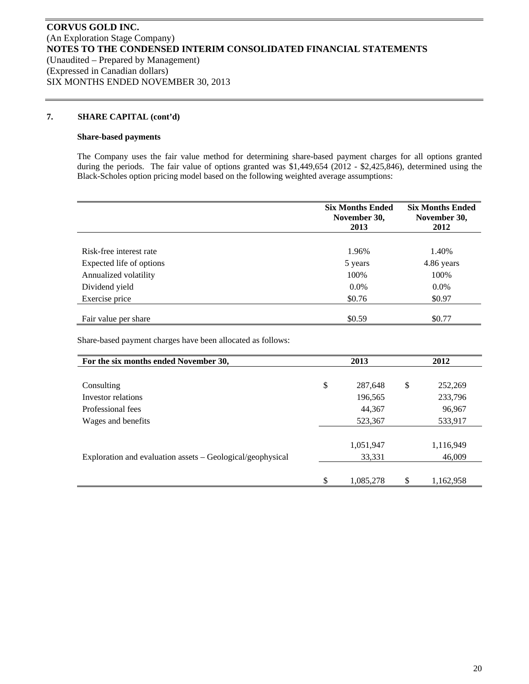#### **7. SHARE CAPITAL (cont'd)**

#### **Share-based payments**

The Company uses the fair value method for determining share-based payment charges for all options granted during the periods. The fair value of options granted was \$1,449,654 (2012 - \$2,425,846), determined using the Black-Scholes option pricing model based on the following weighted average assumptions:

|                          | <b>Six Months Ended</b><br>November 30,<br>2013 | <b>Six Months Ended</b><br>November 30,<br>2012 |
|--------------------------|-------------------------------------------------|-------------------------------------------------|
|                          |                                                 |                                                 |
| Risk-free interest rate  | 1.96%                                           | 1.40%                                           |
| Expected life of options | 5 years                                         | 4.86 years                                      |
| Annualized volatility    | 100%                                            | 100%                                            |
| Dividend yield           | $0.0\%$                                         | $0.0\%$                                         |
| Exercise price           | \$0.76                                          | \$0.97                                          |
|                          |                                                 |                                                 |
| Fair value per share     | \$0.59                                          | \$0.77                                          |

Share-based payment charges have been allocated as follows:

| For the six months ended November 30,                      | 2013 |           |               | 2012      |  |
|------------------------------------------------------------|------|-----------|---------------|-----------|--|
|                                                            |      |           |               |           |  |
| Consulting                                                 | \$   | 287,648   | <sup>\$</sup> | 252,269   |  |
| Investor relations                                         |      | 196,565   |               | 233,796   |  |
| Professional fees                                          |      | 44,367    |               | 96,967    |  |
| Wages and benefits                                         |      | 523,367   |               | 533,917   |  |
|                                                            |      |           |               |           |  |
|                                                            |      | 1,051,947 |               | 1,116,949 |  |
| Exploration and evaluation assets – Geological/geophysical |      | 33,331    |               | 46,009    |  |
|                                                            |      |           |               |           |  |
|                                                            | \$   | 1,085,278 | \$            | 1,162,958 |  |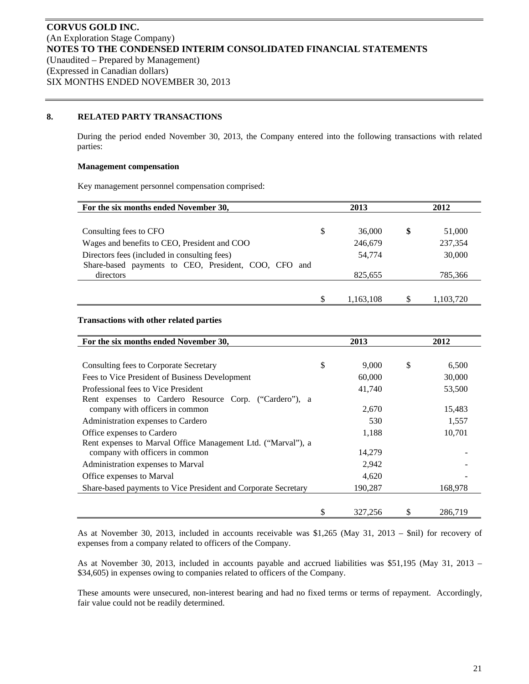## **8. RELATED PARTY TRANSACTIONS**

During the period ended November 30, 2013, the Company entered into the following transactions with related parties:

## **Management compensation**

Key management personnel compensation comprised:

| For the six months ended November 30,                   | 2013 |           | 2012 |           |
|---------------------------------------------------------|------|-----------|------|-----------|
|                                                         |      |           |      |           |
| Consulting fees to CFO                                  | \$   | 36,000    | \$   | 51,000    |
| Wages and benefits to CEO, President and COO            |      | 246,679   |      | 237,354   |
| Directors fees (included in consulting fees)            |      | 54,774    |      | 30,000    |
| Share-based payments to CEO, President, COO, CFO<br>and |      |           |      |           |
| directors                                               |      | 825,655   |      | 785,366   |
|                                                         |      |           |      |           |
|                                                         |      | 1,163,108 |      | 1,103,720 |

## **Transactions with other related parties**

| For the six months ended November 30,                          |    | 2013    |    | 2012    |  |
|----------------------------------------------------------------|----|---------|----|---------|--|
|                                                                |    |         |    |         |  |
| Consulting fees to Corporate Secretary                         | \$ | 9,000   | \$ | 6,500   |  |
| Fees to Vice President of Business Development                 |    | 60,000  |    | 30,000  |  |
| Professional fees to Vice President                            |    | 41,740  |    | 53,500  |  |
| Rent expenses to Cardero Resource Corp. ("Cardero"), a         |    |         |    |         |  |
| company with officers in common                                |    | 2,670   |    | 15,483  |  |
| Administration expenses to Cardero                             |    | 530     |    | 1,557   |  |
| Office expenses to Cardero                                     |    | 1,188   |    | 10,701  |  |
| Rent expenses to Marval Office Management Ltd. ("Marval"), a   |    |         |    |         |  |
| company with officers in common                                |    | 14,279  |    |         |  |
| Administration expenses to Marval                              |    | 2,942   |    |         |  |
| Office expenses to Marval                                      |    | 4,620   |    |         |  |
| Share-based payments to Vice President and Corporate Secretary |    | 190,287 |    | 168,978 |  |
|                                                                |    |         |    |         |  |
|                                                                | \$ | 327,256 | S  | 286,719 |  |

As at November 30, 2013, included in accounts receivable was \$1,265 (May 31, 2013 – \$nil) for recovery of expenses from a company related to officers of the Company.

As at November 30, 2013, included in accounts payable and accrued liabilities was \$51,195 (May 31, 2013 – \$34,605) in expenses owing to companies related to officers of the Company.

These amounts were unsecured, non-interest bearing and had no fixed terms or terms of repayment. Accordingly, fair value could not be readily determined.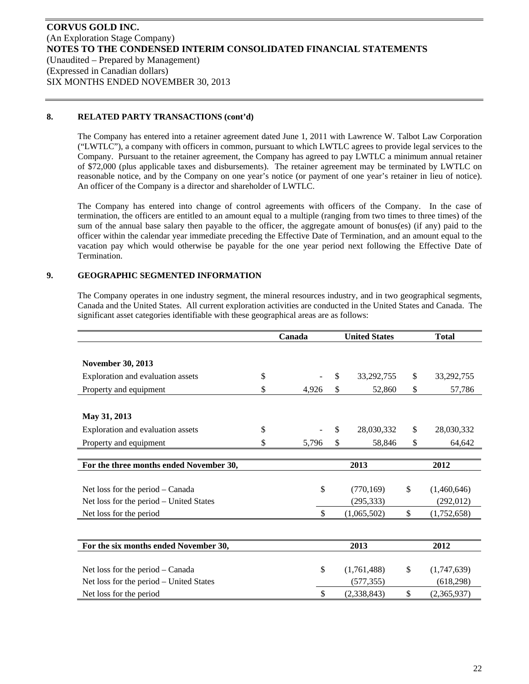## **8. RELATED PARTY TRANSACTIONS (cont'd)**

The Company has entered into a retainer agreement dated June 1, 2011 with Lawrence W. Talbot Law Corporation ("LWTLC"), a company with officers in common, pursuant to which LWTLC agrees to provide legal services to the Company. Pursuant to the retainer agreement, the Company has agreed to pay LWTLC a minimum annual retainer of \$72,000 (plus applicable taxes and disbursements). The retainer agreement may be terminated by LWTLC on reasonable notice, and by the Company on one year's notice (or payment of one year's retainer in lieu of notice). An officer of the Company is a director and shareholder of LWTLC.

The Company has entered into change of control agreements with officers of the Company. In the case of termination, the officers are entitled to an amount equal to a multiple (ranging from two times to three times) of the sum of the annual base salary then payable to the officer, the aggregate amount of bonus(es) (if any) paid to the officer within the calendar year immediate preceding the Effective Date of Termination, and an amount equal to the vacation pay which would otherwise be payable for the one year period next following the Effective Date of Termination.

## **9. GEOGRAPHIC SEGMENTED INFORMATION**

The Company operates in one industry segment, the mineral resources industry, and in two geographical segments, Canada and the United States. All current exploration activities are conducted in the United States and Canada. The significant asset categories identifiable with these geographical areas are as follows:

|                                         | Canada | <b>United States</b> |              | <b>Total</b> |
|-----------------------------------------|--------|----------------------|--------------|--------------|
|                                         |        |                      |              |              |
| <b>November 30, 2013</b>                |        |                      |              |              |
| \$<br>Exploration and evaluation assets |        | \$.<br>33,292,755    | \$           | 33,292,755   |
| \$<br>Property and equipment            | 4,926  | \$<br>52,860         | \$           | 57,786       |
|                                         |        |                      |              |              |
| May 31, 2013                            |        |                      |              |              |
| \$<br>Exploration and evaluation assets |        | \$.<br>28,030,332    | \$           | 28,030,332   |
| \$<br>Property and equipment            | 5,796  | \$<br>58,846         | \$           | 64,642       |
|                                         |        |                      |              |              |
| For the three months ended November 30, |        | 2013                 |              | 2012         |
|                                         |        |                      |              |              |
| Net loss for the period – Canada        | \$     | (770, 169)           | \$           | (1,460,646)  |
| Net loss for the period – United States |        | (295, 333)           |              | (292, 012)   |
| Net loss for the period                 | \$     | (1,065,502)          | \$           | (1,752,658)  |
|                                         |        |                      |              |              |
| For the six months ended November 30,   |        | 2013                 |              | 2012         |
|                                         |        |                      |              |              |
| Net loss for the period – Canada        | \$     | (1,761,488)          | \$           | (1,747,639)  |
| Net loss for the period – United States |        | (577, 355)           |              | (618, 298)   |
| Net loss for the period                 | \$     | (2,338,843)          | $\mathbb{S}$ | (2,365,937)  |
|                                         |        |                      |              |              |